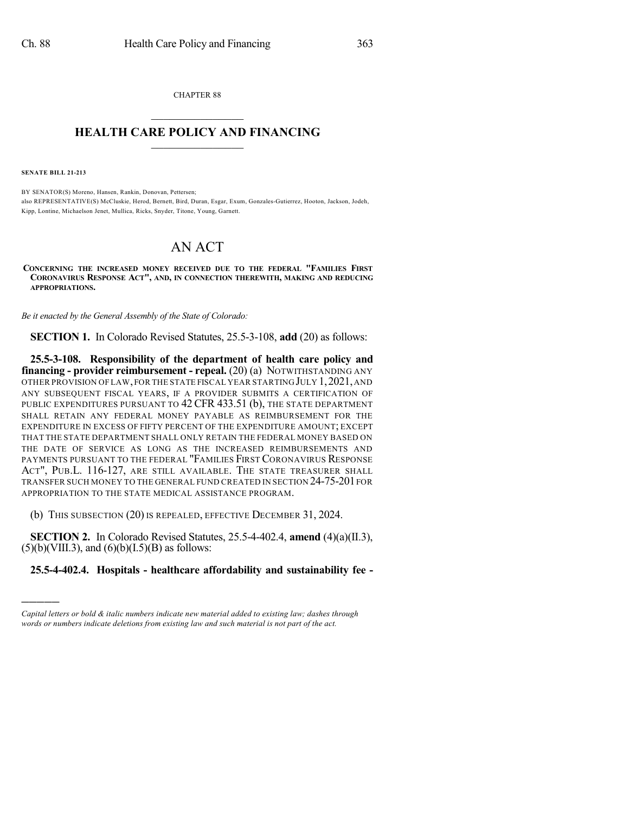CHAPTER 88  $\mathcal{L}_\text{max}$  . The set of the set of the set of the set of the set of the set of the set of the set of the set of the set of the set of the set of the set of the set of the set of the set of the set of the set of the set

## **HEALTH CARE POLICY AND FINANCING**  $\_$   $\_$   $\_$   $\_$   $\_$   $\_$   $\_$   $\_$

**SENATE BILL 21-213**

)))))

BY SENATOR(S) Moreno, Hansen, Rankin, Donovan, Pettersen; also REPRESENTATIVE(S) McCluskie, Herod, Bernett, Bird, Duran, Esgar, Exum, Gonzales-Gutierrez, Hooton, Jackson, Jodeh, Kipp, Lontine, Michaelson Jenet, Mullica, Ricks, Snyder, Titone, Young, Garnett.

## AN ACT

**CONCERNING THE INCREASED MONEY RECEIVED DUE TO THE FEDERAL "FAMILIES FIRST CORONAVIRUS RESPONSE ACT", AND, IN CONNECTION THEREWITH, MAKING AND REDUCING APPROPRIATIONS.**

*Be it enacted by the General Assembly of the State of Colorado:*

**SECTION 1.** In Colorado Revised Statutes, 25.5-3-108, **add** (20) as follows:

**25.5-3-108. Responsibility of the department of health care policy and financing - provider reimbursement - repeal.** (20) (a) NOTWITHSTANDING ANY OTHER PROVISION OF LAW,FOR THE STATE FISCAL YEAR STARTING JULY 1,2021,AND ANY SUBSEQUENT FISCAL YEARS, IF A PROVIDER SUBMITS A CERTIFICATION OF PUBLIC EXPENDITURES PURSUANT TO 42 CFR 433.51 (b), THE STATE DEPARTMENT SHALL RETAIN ANY FEDERAL MONEY PAYABLE AS REIMBURSEMENT FOR THE EXPENDITURE IN EXCESS OF FIFTY PERCENT OF THE EXPENDITURE AMOUNT; EXCEPT THAT THE STATE DEPARTMENT SHALL ONLY RETAIN THE FEDERAL MONEY BASED ON THE DATE OF SERVICE AS LONG AS THE INCREASED REIMBURSEMENTS AND PAYMENTS PURSUANT TO THE FEDERAL "FAMILIES FIRST CORONAVIRUS RESPONSE ACT", PUB.L. 116-127, ARE STILL AVAILABLE. THE STATE TREASURER SHALL TRANSFER SUCH MONEY TO THE GENERAL FUND CREATED IN SECTION 24-75-201 FOR APPROPRIATION TO THE STATE MEDICAL ASSISTANCE PROGRAM.

(b) THIS SUBSECTION (20) IS REPEALED, EFFECTIVE DECEMBER 31, 2024.

**SECTION 2.** In Colorado Revised Statutes, 25.5-4-402.4, **amend** (4)(a)(II.3),  $(5)(b)(VIII.3)$ , and  $(6)(b)(I.5)(B)$  as follows:

## **25.5-4-402.4. Hospitals - healthcare affordability and sustainability fee -**

*Capital letters or bold & italic numbers indicate new material added to existing law; dashes through words or numbers indicate deletions from existing law and such material is not part of the act.*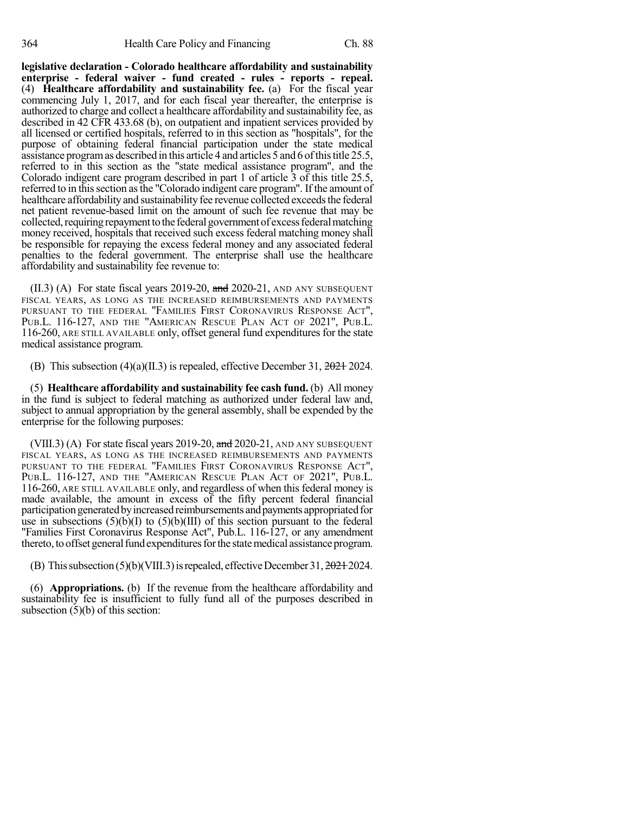**legislative declaration - Colorado healthcare affordability and sustainability enterprise - federal waiver - fund created - rules - reports - repeal.** (4) **Healthcare affordability and sustainability fee.** (a) For the fiscal year commencing July 1, 2017, and for each fiscal year thereafter, the enterprise is authorized to charge and collect a healthcare affordability and sustainability fee, as described in 42 CFR 433.68 (b), on outpatient and inpatient services provided by all licensed or certified hospitals, referred to in this section as "hospitals", for the purpose of obtaining federal financial participation under the state medical assistance programas described in this article 4 and articles 5 and 6 ofthistitle 25.5, referred to in this section as the "state medical assistance program", and the Colorado indigent care program described in part 1 of article 3 of this title 25.5, referred to in thissection asthe "Colorado indigent care program". If the amount of healthcare affordability and sustainability fee revenue collected exceeds the federal net patient revenue-based limit on the amount of such fee revenue that may be collected, requiring repayment to the federal government of excess federal matching money received, hospitals that received such excess federal matching money shall be responsible for repaying the excess federal money and any associated federal penalties to the federal government. The enterprise shall use the healthcare affordability and sustainability fee revenue to:

 $(II.3)$  (A) For state fiscal years 2019-20, and 2020-21, AND ANY SUBSEQUENT FISCAL YEARS, AS LONG AS THE INCREASED REIMBURSEMENTS AND PAYMENTS PURSUANT TO THE FEDERAL "FAMILIES FIRST CORONAVIRUS RESPONSE ACT", PUB.L. 116-127, AND THE "AMERICAN RESCUE PLAN ACT OF 2021", PUB.L. 116-260, ARE STILL AVAILABLE only, offset general fund expenditures for the state medical assistance program.

(B) This subsection  $(4)(a)(II.3)$  is repealed, effective December 31,  $2024.2024$ .

(5) **Healthcare affordability and sustainability fee cash fund.** (b) All money in the fund is subject to federal matching as authorized under federal law and, subject to annual appropriation by the general assembly, shall be expended by the enterprise for the following purposes:

(VIII.3) (A) For state fiscal years 2019-20,  $\frac{1}{2}$  and 2020-21, AND ANY SUBSEQUENT FISCAL YEARS, AS LONG AS THE INCREASED REIMBURSEMENTS AND PAYMENTS PURSUANT TO THE FEDERAL "FAMILIES FIRST CORONAVIRUS RESPONSE ACT", PUB.L. 116-127, AND THE "AMERICAN RESCUE PLAN ACT OF 2021", PUB.L. 116-260, ARE STILL AVAILABLE only, and regardless of when this federal money is made available, the amount in excess of the fifty percent federal financial participation generated by increased reimbursements and payments appropriated for use in subsections  $(5)(b)(I)$  to  $(5)(b)(III)$  of this section pursuant to the federal "Families First Coronavirus Response Act", Pub.L. 116-127, or any amendment thereto, to offset general fund expenditures for the state medical assistance program.

(B) This subsection  $(5)(b)(VIII.3)$  is repealed, effective December 31,  $20212024$ .

(6) **Appropriations.** (b) If the revenue from the healthcare affordability and sustainability fee is insufficient to fully fund all of the purposes described in subsection  $(5)(b)$  of this section: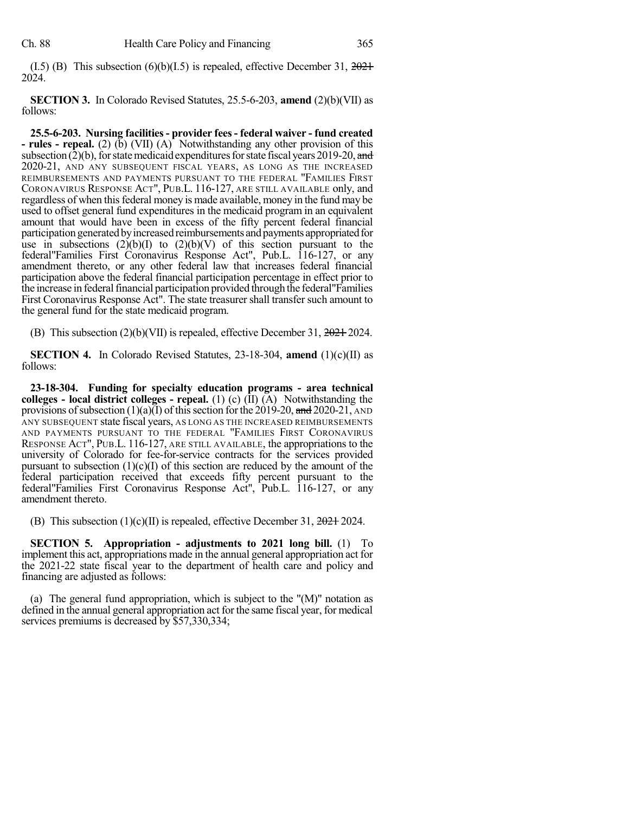(I.5) (B) This subsection  $(6)(b)(I.5)$  is repealed, effective December 31,  $2021$ 2024.

**SECTION 3.** In Colorado Revised Statutes, 25.5-6-203, **amend** (2)(b)(VII) as follows:

**25.5-6-203. Nursing facilities- provider fees- federal waiver - fund created - rules - repeal.** (2) (b) (VII) (A) Notwithstanding any other provision of this subsection  $(2)(b)$ , for state medicaid expenditures for state fiscal years 2019-20, and 2020-21, AND ANY SUBSEQUENT FISCAL YEARS, AS LONG AS THE INCREASED REIMBURSEMENTS AND PAYMENTS PURSUANT TO THE FEDERAL "FAMILIES FIRST CORONAVIRUS RESPONSE ACT", PUB.L. 116-127, ARE STILL AVAILABLE only, and regardless of when this federal money is made available, money in the fund may be used to offset general fund expenditures in the medicaid program in an equivalent amount that would have been in excess of the fifty percent federal financial participation generated by increased reimbursements and payments appropriated for use in subsections  $(2)(b)(I)$  to  $(2)(b)(V)$  of this section pursuant to the federal"Families First Coronavirus Response Act", Pub.L. 116-127, or any amendment thereto, or any other federal law that increases federal financial participation above the federal financial participation percentage in effect prior to the increase in federal financial participation provided through the federal "Families" First Coronavirus Response Act". The state treasurershall transfer such amount to the general fund for the state medicaid program.

(B) This subsection (2)(b)(VII) is repealed, effective December 31, 2021 2024.

**SECTION 4.** In Colorado Revised Statutes, 23-18-304, **amend** (1)(c)(II) as follows:

**23-18-304. Funding for specialty education programs - area technical colleges - local district colleges - repeal.** (1) (c) (II) (A) Notwithstanding the provisions of subsection (1)(a)(I) of this section for the 2019-20, and 2020-21, AND ANY SUBSEQUENT state fiscal years, AS LONG AS THE INCREASED REIMBURSEMENTS AND PAYMENTS PURSUANT TO THE FEDERAL "FAMILIES FIRST CORONAVIRUS RESPONSE ACT", PUB.L. 116-127, ARE STILL AVAILABLE, the appropriations to the university of Colorado for fee-for-service contracts for the services provided pursuant to subsection  $(1)(c)(I)$  of this section are reduced by the amount of the federal participation received that exceeds fifty percent pursuant to the federal"Families First Coronavirus Response Act", Pub.L. 116-127, or any amendment thereto.

(B) This subsection  $(1)(c)(II)$  is repealed, effective December 31,  $2024$  2024.

**SECTION 5. Appropriation - adjustments to 2021 long bill.** (1) To implement this act, appropriations made in the annual general appropriation act for the 2021-22 state fiscal year to the department of health care and policy and financing are adjusted as follows:

(a) The general fund appropriation, which is subject to the "(M)" notation as defined in the annual general appropriation act for the same fiscal year, for medical services premiums is decreased by \$57,330,334;